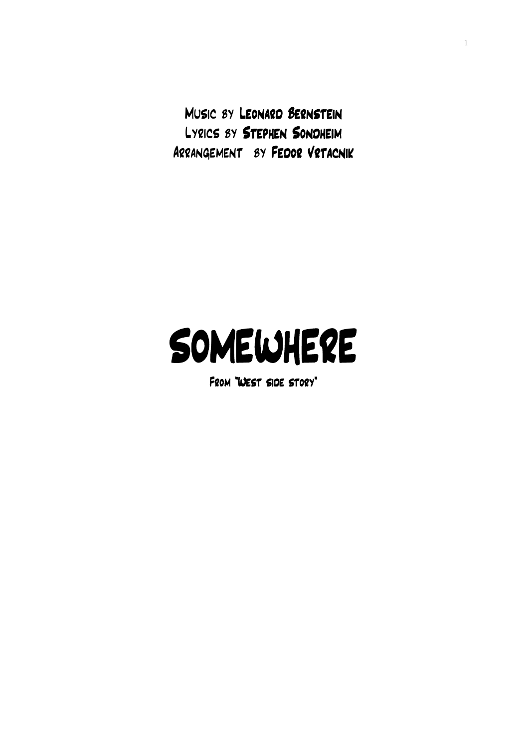Music by Leonard Bernstein Lyrics by Stephen Sondheim Arrangement by Fedor Vrtacnik 1

## SOMEWHERE

From "West side story"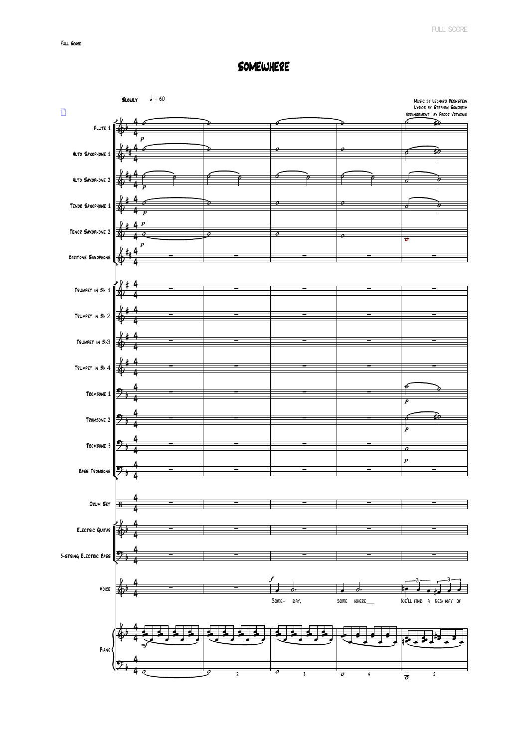## **SOMEWHERE**